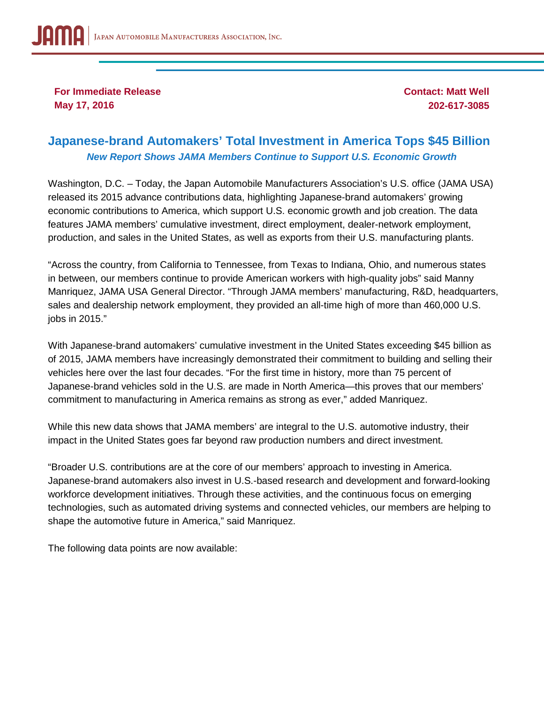**For Immediate Release May 17, 2016**

**Contact: Matt Well 202-617-3085**

## **Japanese-brand Automakers' Total Investment in America Tops \$45 Billion** *New Report Shows JAMA Members Continue to Support U.S. Economic Growth*

Washington, D.C. – Today, the Japan Automobile Manufacturers Association's U.S. office (JAMA USA) released its 2015 advance contributions data, highlighting Japanese-brand automakers' growing economic contributions to America, which support U.S. economic growth and job creation. The data features JAMA members' cumulative investment, direct employment, dealer-network employment, production, and sales in the United States, as well as exports from their U.S. manufacturing plants.

"Across the country, from California to Tennessee, from Texas to Indiana, Ohio, and numerous states in between, our members continue to provide American workers with high-quality jobs" said Manny Manriquez, JAMA USA General Director. "Through JAMA members' manufacturing, R&D, headquarters, sales and dealership network employment, they provided an all-time high of more than 460,000 U.S. jobs in 2015."

With Japanese-brand automakers' cumulative investment in the United States exceeding \$45 billion as of 2015, JAMA members have increasingly demonstrated their commitment to building and selling their vehicles here over the last four decades. "For the first time in history, more than 75 percent of Japanese-brand vehicles sold in the U.S. are made in North America—this proves that our members' commitment to manufacturing in America remains as strong as ever," added Manriquez.

While this new data shows that JAMA members' are integral to the U.S. automotive industry, their impact in the United States goes far beyond raw production numbers and direct investment.

"Broader U.S. contributions are at the core of our members' approach to investing in America. Japanese-brand automakers also invest in U.S.-based research and development and forward-looking workforce development initiatives. Through these activities, and the continuous focus on emerging technologies, such as automated driving systems and connected vehicles, our members are helping to shape the automotive future in America," said Manriquez.

The following data points are now available: